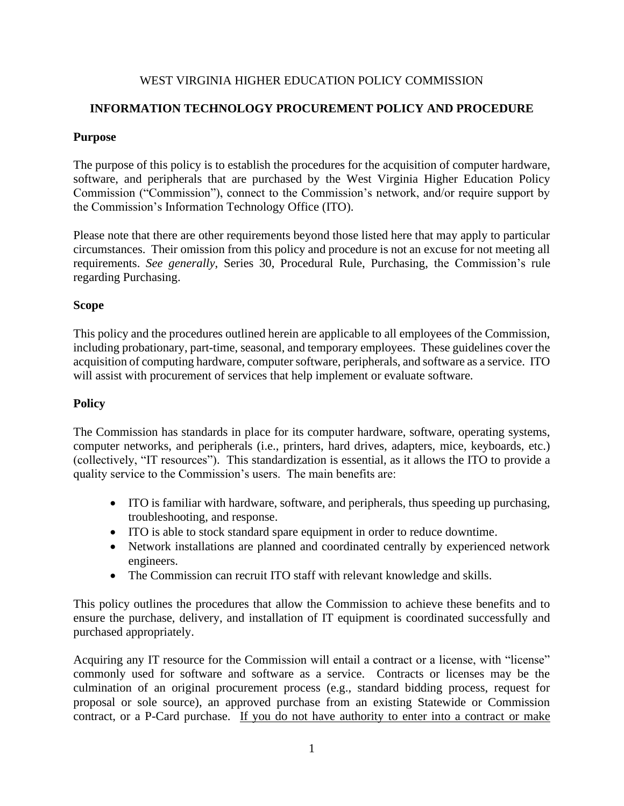### WEST VIRGINIA HIGHER EDUCATION POLICY COMMISSION

## **INFORMATION TECHNOLOGY PROCUREMENT POLICY AND PROCEDURE**

### **Purpose**

The purpose of this policy is to establish the procedures for the acquisition of computer hardware, software, and peripherals that are purchased by the West Virginia Higher Education Policy Commission ("Commission"), connect to the Commission's network, and/or require support by the Commission's Information Technology Office (ITO).

Please note that there are other requirements beyond those listed here that may apply to particular circumstances. Their omission from this policy and procedure is not an excuse for not meeting all requirements. *See generally*, Series 30, Procedural Rule, Purchasing, the Commission's rule regarding Purchasing.

### **Scope**

This policy and the procedures outlined herein are applicable to all employees of the Commission, including probationary, part-time, seasonal, and temporary employees. These guidelines cover the acquisition of computing hardware, computer software, peripherals, and software as a service. ITO will assist with procurement of services that help implement or evaluate software.

### **Policy**

The Commission has standards in place for its computer hardware, software, operating systems, computer networks, and peripherals (i.e., printers, hard drives, adapters, mice, keyboards, etc.) (collectively, "IT resources"). This standardization is essential, as it allows the ITO to provide a quality service to the Commission's users. The main benefits are:

- ITO is familiar with hardware, software, and peripherals, thus speeding up purchasing, troubleshooting, and response.
- ITO is able to stock standard spare equipment in order to reduce downtime.
- Network installations are planned and coordinated centrally by experienced network engineers.
- The Commission can recruit ITO staff with relevant knowledge and skills.

This policy outlines the procedures that allow the Commission to achieve these benefits and to ensure the purchase, delivery, and installation of IT equipment is coordinated successfully and purchased appropriately.

Acquiring any IT resource for the Commission will entail a contract or a license, with "license" commonly used for software and software as a service. Contracts or licenses may be the culmination of an original procurement process (e.g., standard bidding process, request for proposal or sole source), an approved purchase from an existing Statewide or Commission contract, or a P-Card purchase. If you do not have authority to enter into a contract or make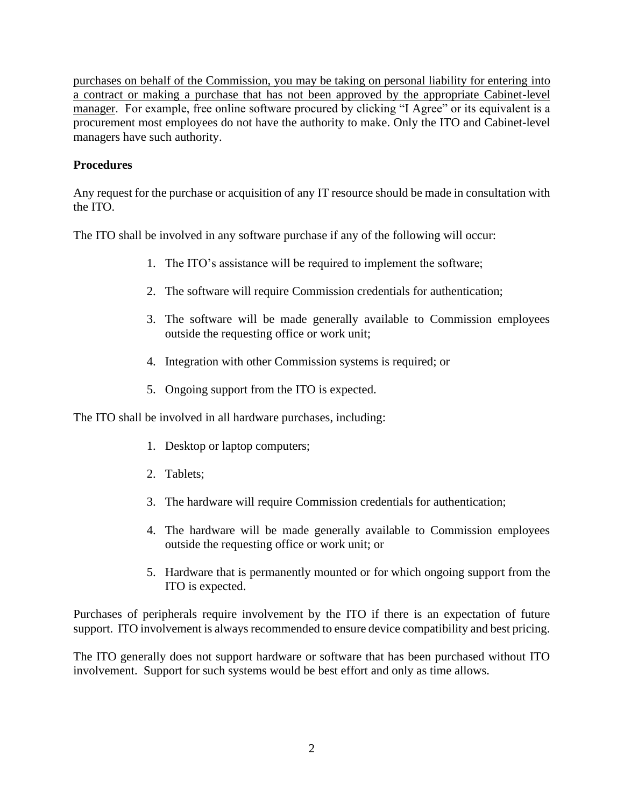purchases on behalf of the Commission, you may be taking on personal liability for entering into a contract or making a purchase that has not been approved by the appropriate Cabinet-level manager. For example, free online software procured by clicking "I Agree" or its equivalent is a procurement most employees do not have the authority to make. Only the ITO and Cabinet-level managers have such authority.

## **Procedures**

Any request for the purchase or acquisition of any IT resource should be made in consultation with the ITO.

The ITO shall be involved in any software purchase if any of the following will occur:

- 1. The ITO's assistance will be required to implement the software;
- 2. The software will require Commission credentials for authentication;
- 3. The software will be made generally available to Commission employees outside the requesting office or work unit;
- 4. Integration with other Commission systems is required; or
- 5. Ongoing support from the ITO is expected.

The ITO shall be involved in all hardware purchases, including:

- 1. Desktop or laptop computers;
- 2. Tablets;
- 3. The hardware will require Commission credentials for authentication;
- 4. The hardware will be made generally available to Commission employees outside the requesting office or work unit; or
- 5. Hardware that is permanently mounted or for which ongoing support from the ITO is expected.

Purchases of peripherals require involvement by the ITO if there is an expectation of future support. ITO involvement is always recommended to ensure device compatibility and best pricing.

The ITO generally does not support hardware or software that has been purchased without ITO involvement. Support for such systems would be best effort and only as time allows.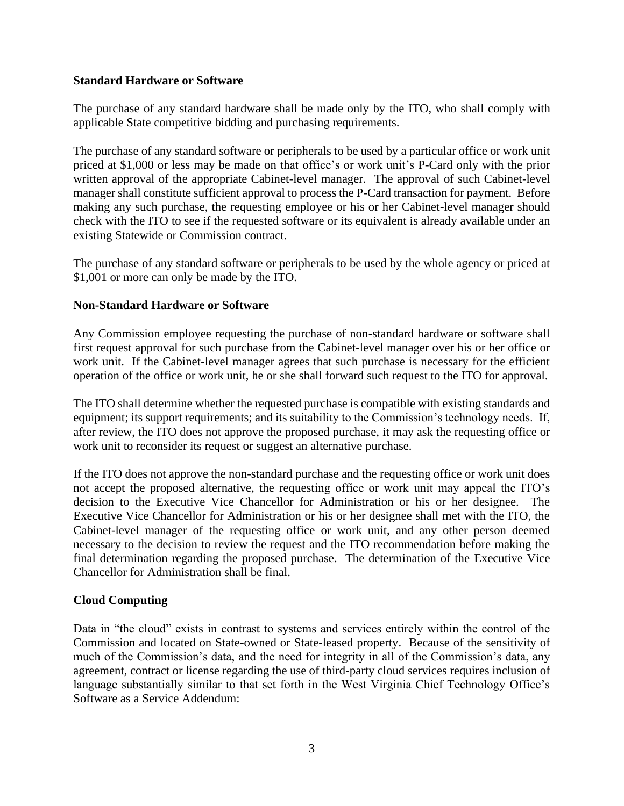### **Standard Hardware or Software**

The purchase of any standard hardware shall be made only by the ITO, who shall comply with applicable State competitive bidding and purchasing requirements.

The purchase of any standard software or peripherals to be used by a particular office or work unit priced at \$1,000 or less may be made on that office's or work unit's P-Card only with the prior written approval of the appropriate Cabinet-level manager. The approval of such Cabinet-level manager shall constitute sufficient approval to process the P-Card transaction for payment. Before making any such purchase, the requesting employee or his or her Cabinet-level manager should check with the ITO to see if the requested software or its equivalent is already available under an existing Statewide or Commission contract.

The purchase of any standard software or peripherals to be used by the whole agency or priced at \$1,001 or more can only be made by the ITO.

### **Non-Standard Hardware or Software**

Any Commission employee requesting the purchase of non-standard hardware or software shall first request approval for such purchase from the Cabinet-level manager over his or her office or work unit. If the Cabinet-level manager agrees that such purchase is necessary for the efficient operation of the office or work unit, he or she shall forward such request to the ITO for approval.

The ITO shall determine whether the requested purchase is compatible with existing standards and equipment; its support requirements; and its suitability to the Commission's technology needs. If, after review, the ITO does not approve the proposed purchase, it may ask the requesting office or work unit to reconsider its request or suggest an alternative purchase.

If the ITO does not approve the non-standard purchase and the requesting office or work unit does not accept the proposed alternative, the requesting office or work unit may appeal the ITO's decision to the Executive Vice Chancellor for Administration or his or her designee. The Executive Vice Chancellor for Administration or his or her designee shall met with the ITO, the Cabinet-level manager of the requesting office or work unit, and any other person deemed necessary to the decision to review the request and the ITO recommendation before making the final determination regarding the proposed purchase. The determination of the Executive Vice Chancellor for Administration shall be final.

### **Cloud Computing**

Data in "the cloud" exists in contrast to systems and services entirely within the control of the Commission and located on State-owned or State-leased property. Because of the sensitivity of much of the Commission's data, and the need for integrity in all of the Commission's data, any agreement, contract or license regarding the use of third-party cloud services requires inclusion of language substantially similar to that set forth in the West Virginia Chief Technology Office's Software as a Service Addendum: